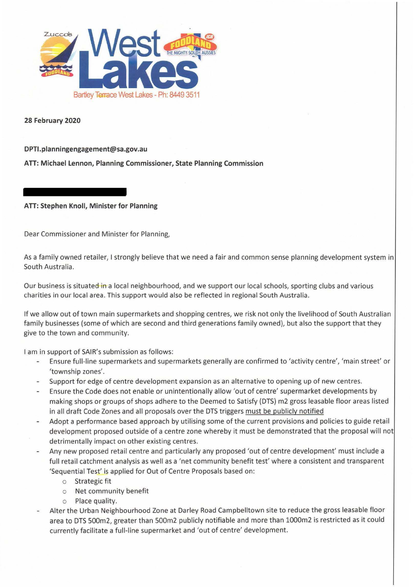

**28 February 2020** 

**DPTl.planningengagement@sa.gov.au** 

**ATI: Michael Lennon, Planning Commissioner, State Planning Commission** 

**ATI: Stephen Knoll, Minister for Planning** 

Dear Commissioner and Minister for Planning,

As a family owned retailer, I strongly believe that we need a fair and common sense planning development system in South Australia.

Our business is situated in a local neighbourhood, and we support our local schools, sporting clubs and various charities in our local area. This support would also be reflected in regional South Australia.

If we allow out of town main supermarkets and shopping centres, we risk not only the livelihood of South Australian family businesses (some of which are second and third generations family owned), but also the support that they give to the town and community.

I am in support of SAIR's submission as follows:

- Ensure full-line supermarkets and supermarkets generally are confirmed to 'activity centre', 'main street' or  $\overline{\phantom{a}}$ 'township zones'.
- Support for edge of centre development expansion as an alternative to opening up of new centres.
- Ensure the Code does not enable or unintentionally allow 'out of centre' supermarket developments by making shops or groups of shops adhere to the Deemed to Satisfy (DTS) m2 gross leasable floor areas listed in all draft Code Zones and all proposals over the DTS triggers must be publicly notified
- Adopt a performance based approach by utilising some of the current provisions and policies to guide retail development proposed outside of a centre zone whereby it must be demonstrated that the proposal will not detrimentally impact on other existing centres.
- Any new proposed retail centre and particularly any proposed 'out of centre development' must include a full retail catchment analysis as well as a 'net community benefit test' where a consistent and transparent 'Sequential Test' is applied for Out of Centre Proposals based on:
	- o Strategic fit
	- o Net community benefit
	- o Place quality.
- Alter the Urban Neighbourhood Zone at Darley Road Campbelltown site to reduce the gross leasable floor area to DTS 500m2, greater than 500m2 publicly notifiable and more than 1000m2 is restricted as it could currently facilitate a full-line supermarket and 'out of centre' development.